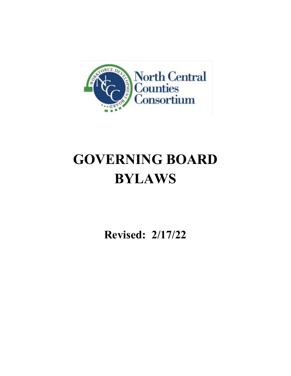

# **GOVERNING BOARD BYLAWS**

**Revised: 2/17/22**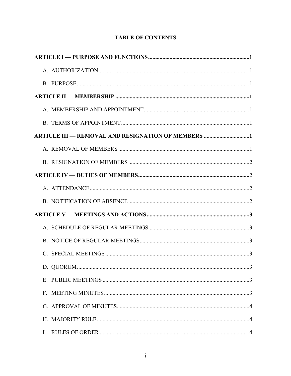| <b>ARTICLE III — REMOVAL AND RESIGNATION OF MEMBERS 1</b> |
|-----------------------------------------------------------|
|                                                           |
|                                                           |
|                                                           |
|                                                           |
|                                                           |
|                                                           |
|                                                           |
|                                                           |
|                                                           |
|                                                           |
|                                                           |
|                                                           |
|                                                           |
|                                                           |
|                                                           |

## **TABLE OF CONTENTS**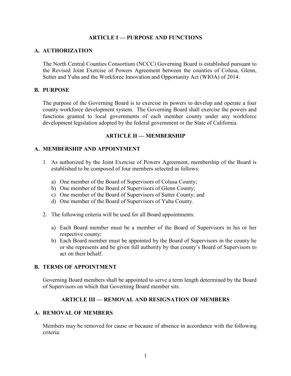#### **ARTICLE I — PURPOSE AND FUNCTIONS**

#### **A. AUTHORIZATION**

The North Central Counties Consortium (NCCC) Governing Board is established pursuant to the Revised Joint Exercise of Powers Agreement between the counties of Colusa, Glenn, Sutter and Yuba and the Workforce Innovation and Opportunity Act (WIOA) of 2014.

#### **B. PURPOSE**

The purpose of the Governing Board is to exercise its powers to develop and operate a four county workforce development system. The Governing Board shall exercise the powers and functions granted to local governments of each member county under any workforce development legislation adopted by the federal government or the State of California.

#### **ARTICLE II — MEMBERSHIP**

#### **A. MEMBERSHIP AND APPOINTMENT**

- 1. As authorized by the Joint Exercise of Powers Agreement, membership of the Board is established to be composed of four members selected as follows:
	- a) One member of the Board of Supervisors of Colusa County;
	- b) One member of the Board of Supervisors of Glenn County;
	- c) One member of the Board of Supervisors of Sutter County; and
	- d) One member of the Board of Supervisors of Yuba County.
- 2. The following criteria will be used for all Board appointments:
	- a) Each Board member must be a member of the Board of Supervisors in his or her respective county;
	- b) Each Board member must be appointed by the Board of Supervisors in the county he or she represents and be given full authority by that county's Board of Supervisors to act on their behalf.

#### **B. TERMS OF APPOINTMENT**

Governing Board members shall be appointed to serve a term length determined by the Board of Supervisors on which that Governing Board member sits.

#### **ARTICLE III — REMOVAL AND RESIGNATION OF MEMBERS**

#### **A. REMOVAL OF MEMBERS**

Members may be removed for cause or because of absence in accordance with the following criteria: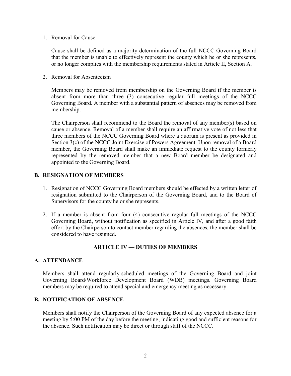#### 1. Removal for Cause

Cause shall be defined as a majority determination of the full NCCC Governing Board that the member is unable to effectively represent the county which he or she represents, or no longer complies with the membership requirements stated in Article II, Section A.

2. Removal for Absenteeism

Members may be removed from membership on the Governing Board if the member is absent from more than three (3) consecutive regular full meetings of the NCCC Governing Board. A member with a substantial pattern of absences may be removed from membership.

The Chairperson shall recommend to the Board the removal of any member(s) based on cause or absence. Removal of a member shall require an affirmative vote of not less that three members of the NCCC Governing Board where a quorum is present as provided in Section 3(c) of the NCCC Joint Exercise of Powers Agreement. Upon removal of a Board member, the Governing Board shall make an immediate request to the county formerly represented by the removed member that a new Board member be designated and appointed to the Governing Board.

## **B. RESIGNATION OF MEMBERS**

- 1. Resignation of NCCC Governing Board members should be effected by a written letter of resignation submitted to the Chairperson of the Governing Board, and to the Board of Supervisors for the county he or she represents.
- 2. If a member is absent from four (4) consecutive regular full meetings of the NCCC Governing Board, without notification as specified in Article IV, and after a good faith effort by the Chairperson to contact member regarding the absences, the member shall be considered to have resigned.

## **ARTICLE IV — DUTIES OF MEMBERS**

#### **A. ATTENDANCE**

Members shall attend regularly-scheduled meetings of the Governing Board and joint Governing Board/Workforce Development Board (WDB) meetings. Governing Board members may be required to attend special and emergency meeting as necessary.

#### **B. NOTIFICATION OF ABSENCE**

Members shall notify the Chairperson of the Governing Board of any expected absence for a meeting by 5:00 PM of the day before the meeting, indicating good and sufficient reasons for the absence. Such notification may be direct or through staff of the NCCC.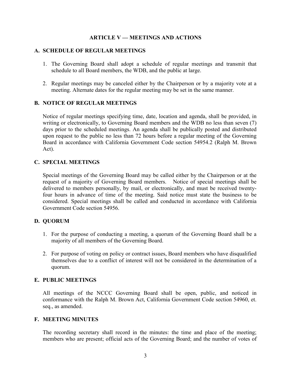#### **ARTICLE V — MEETINGS AND ACTIONS**

#### **A. SCHEDULE OF REGULAR MEETINGS**

- 1. The Governing Board shall adopt a schedule of regular meetings and transmit that schedule to all Board members, the WDB, and the public at large.
- 2. Regular meetings may be canceled either by the Chairperson or by a majority vote at a meeting. Alternate dates for the regular meeting may be set in the same manner.

#### **B. NOTICE OF REGULAR MEETINGS**

Notice of regular meetings specifying time, date, location and agenda, shall be provided, in writing or electronically, to Governing Board members and the WDB no less than seven (7) days prior to the scheduled meetings. An agenda shall be publically posted and distributed upon request to the public no less than 72 hours before a regular meeting of the Governing Board in accordance with California Government Code section 54954.2 (Ralph M. Brown Act).

#### **C. SPECIAL MEETINGS**

Special meetings of the Governing Board may be called either by the Chairperson or at the request of a majority of Governing Board members. Notice of special meetings shall be delivered to members personally, by mail, or electronically, and must be received twentyfour hours in advance of time of the meeting. Said notice must state the business to be considered. Special meetings shall be called and conducted in accordance with California Government Code section 54956.

#### **D. QUORUM**

- 1. For the purpose of conducting a meeting, a quorum of the Governing Board shall be a majority of all members of the Governing Board.
- 2. For purpose of voting on policy or contract issues, Board members who have disqualified themselves due to a conflict of interest will not be considered in the determination of a quorum.

#### **E. PUBLIC MEETINGS**

All meetings of the NCCC Governing Board shall be open, public, and noticed in conformance with the Ralph M. Brown Act, California Government Code section 54960, et. seq., as amended.

#### **F. MEETING MINUTES**

The recording secretary shall record in the minutes: the time and place of the meeting; members who are present; official acts of the Governing Board; and the number of votes of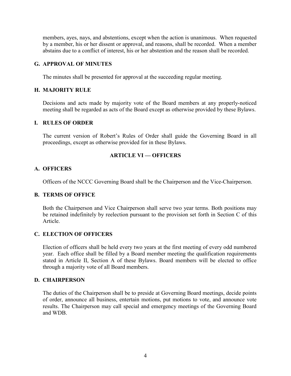members, ayes, nays, and abstentions, except when the action is unanimous. When requested by a member, his or her dissent or approval, and reasons, shall be recorded. When a member abstains due to a conflict of interest, his or her abstention and the reason shall be recorded.

## **G. APPROVAL OF MINUTES**

The minutes shall be presented for approval at the succeeding regular meeting.

#### **H. MAJORITY RULE**

Decisions and acts made by majority vote of the Board members at any properly-noticed meeting shall be regarded as acts of the Board except as otherwise provided by these Bylaws.

## **I. RULES OF ORDER**

The current version of Robert's Rules of Order shall guide the Governing Board in all proceedings, except as otherwise provided for in these Bylaws.

#### **ARTICLE VI — OFFICERS**

#### **A. OFFICERS**

Officers of the NCCC Governing Board shall be the Chairperson and the Vice-Chairperson.

#### **B. TERMS OF OFFICE**

Both the Chairperson and Vice Chairperson shall serve two year terms. Both positions may be retained indefinitely by reelection pursuant to the provision set forth in Section C of this Article.

#### **C. ELECTION OF OFFICERS**

Election of officers shall be held every two years at the first meeting of every odd numbered year. Each office shall be filled by a Board member meeting the qualification requirements stated in Article II, Section A of these Bylaws. Board members will be elected to office through a majority vote of all Board members.

#### **D. CHAIRPERSON**

The duties of the Chairperson shall be to preside at Governing Board meetings, decide points of order, announce all business, entertain motions, put motions to vote, and announce vote results. The Chairperson may call special and emergency meetings of the Governing Board and WDB.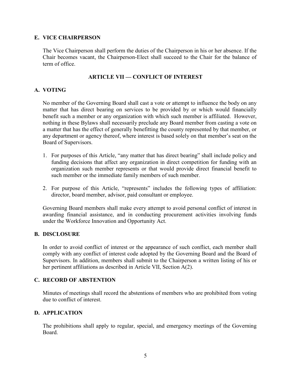#### **E. VICE CHAIRPERSON**

The Vice Chairperson shall perform the duties of the Chairperson in his or her absence. If the Chair becomes vacant, the Chairperson-Elect shall succeed to the Chair for the balance of term of office.

## **ARTICLE VII — CONFLICT OF INTEREST**

#### **A. VOTING**

No member of the Governing Board shall cast a vote or attempt to influence the body on any matter that has direct bearing on services to be provided by or which would financially benefit such a member or any organization with which such member is affiliated. However, nothing in these Bylaws shall necessarily preclude any Board member from casting a vote on a matter that has the effect of generally benefitting the county represented by that member, or any department or agency thereof, where interest is based solely on that member's seat on the Board of Supervisors.

- 1. For purposes of this Article, "any matter that has direct bearing" shall include policy and funding decisions that affect any organization in direct competition for funding with an organization such member represents or that would provide direct financial benefit to such member or the immediate family members of such member.
- 2. For purpose of this Article, "represents" includes the following types of affiliation: director, board member, advisor, paid consultant or employee.

Governing Board members shall make every attempt to avoid personal conflict of interest in awarding financial assistance, and in conducting procurement activities involving funds under the Workforce Innovation and Opportunity Act.

#### **B. DISCLOSURE**

In order to avoid conflict of interest or the appearance of such conflict, each member shall comply with any conflict of interest code adopted by the Governing Board and the Board of Supervisors. In addition, members shall submit to the Chairperson a written listing of his or her pertinent affiliations as described in Article VII, Section A(2).

#### **C. RECORD OF ABSTENTION**

Minutes of meetings shall record the abstentions of members who are prohibited from voting due to conflict of interest.

#### **D. APPLICATION**

The prohibitions shall apply to regular, special, and emergency meetings of the Governing Board.